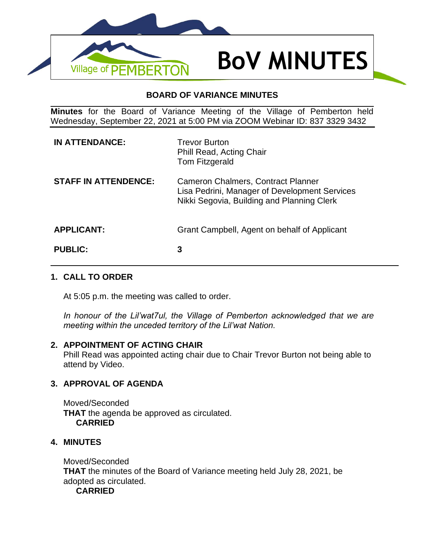

### **BOARD OF VARIANCE MINUTES**

**Minutes** for the Board of Variance Meeting of the Village of Pemberton held Wednesday, September 22, 2021 at 5:00 PM via ZOOM Webinar ID: 837 3329 3432

| <b>IN ATTENDANCE:</b>       | <b>Trevor Burton</b><br><b>Phill Read, Acting Chair</b><br>Tom Fitzgerald                                                         |
|-----------------------------|-----------------------------------------------------------------------------------------------------------------------------------|
| <b>STAFF IN ATTENDENCE:</b> | Cameron Chalmers, Contract Planner<br>Lisa Pedrini, Manager of Development Services<br>Nikki Segovia, Building and Planning Clerk |
| <b>APPLICANT:</b>           | Grant Campbell, Agent on behalf of Applicant                                                                                      |
| <b>PUBLIC:</b>              | 3                                                                                                                                 |

# **1. CALL TO ORDER**

At 5:05 p.m. the meeting was called to order.

*In honour of the Lil'wat7ul, the Village of Pemberton acknowledged that we are meeting within the unceded territory of the Lil'wat Nation.*

### **2. APPOINTMENT OF ACTING CHAIR**

Phill Read was appointed acting chair due to Chair Trevor Burton not being able to attend by Video.

# **3. APPROVAL OF AGENDA**

Moved/Seconded **THAT** the agenda be approved as circulated. **CARRIED**

# **4. MINUTES**

Moved/Seconded **THAT** the minutes of the Board of Variance meeting held July 28, 2021, be adopted as circulated. **CARRIED**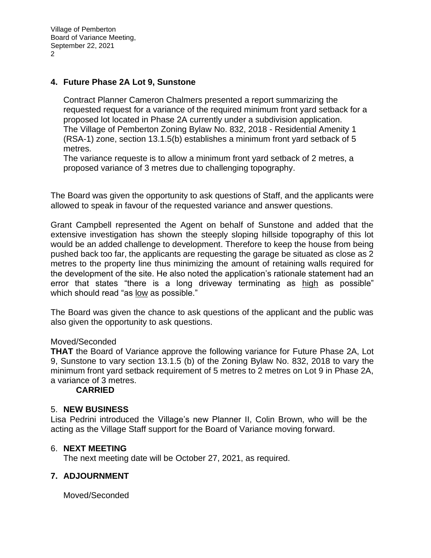Village of Pemberton Board of Variance Meeting, September 22, 2021  $\mathcal{D}$ 

#### **4. Future Phase 2A Lot 9, Sunstone**

Contract Planner Cameron Chalmers presented a report summarizing the requested request for a variance of the required minimum front yard setback for a proposed lot located in Phase 2A currently under a subdivision application. The Village of Pemberton Zoning Bylaw No. 832, 2018 - Residential Amenity 1 (RSA-1) zone, section 13.1.5(b) establishes a minimum front yard setback of 5 metres.

The variance requeste is to allow a minimum front yard setback of 2 metres, a proposed variance of 3 metres due to challenging topography.

The Board was given the opportunity to ask questions of Staff, and the applicants were allowed to speak in favour of the requested variance and answer questions.

Grant Campbell represented the Agent on behalf of Sunstone and added that the extensive investigation has shown the steeply sloping hillside topography of this lot would be an added challenge to development. Therefore to keep the house from being pushed back too far, the applicants are requesting the garage be situated as close as 2 metres to the property line thus minimizing the amount of retaining walls required for the development of the site. He also noted the application's rationale statement had an error that states "there is a long driveway terminating as high as possible" which should read "as low as possible."

The Board was given the chance to ask questions of the applicant and the public was also given the opportunity to ask questions.

#### Moved/Seconded

**THAT** the Board of Variance approve the following variance for Future Phase 2A, Lot 9, Sunstone to vary section 13.1.5 (b) of the Zoning Bylaw No. 832, 2018 to vary the minimum front yard setback requirement of 5 metres to 2 metres on Lot 9 in Phase 2A, a variance of 3 metres.

#### **CARRIED**

#### 5. **NEW BUSINESS**

Lisa Pedrini introduced the Village's new Planner II, Colin Brown, who will be the acting as the Village Staff support for the Board of Variance moving forward.

#### 6. **NEXT MEETING**

The next meeting date will be October 27, 2021, as required.

### **7. ADJOURNMENT**

Moved/Seconded